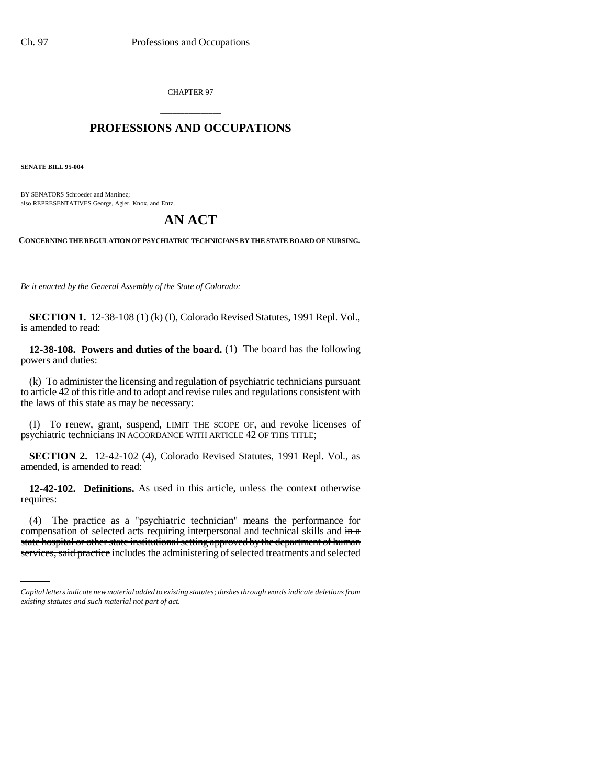CHAPTER 97

# \_\_\_\_\_\_\_\_\_\_\_\_\_\_\_ **PROFESSIONS AND OCCUPATIONS** \_\_\_\_\_\_\_\_\_\_\_\_\_\_\_

**SENATE BILL 95-004**

BY SENATORS Schroeder and Martinez; also REPRESENTATIVES George, Agler, Knox, and Entz.

# **AN ACT**

**CONCERNING THE REGULATION OF PSYCHIATRIC TECHNICIANS BY THE STATE BOARD OF NURSING.**

*Be it enacted by the General Assembly of the State of Colorado:*

**SECTION 1.** 12-38-108 (1) (k) (I), Colorado Revised Statutes, 1991 Repl. Vol., is amended to read:

**12-38-108. Powers and duties of the board.** (1) The board has the following powers and duties:

(k) To administer the licensing and regulation of psychiatric technicians pursuant to article 42 of this title and to adopt and revise rules and regulations consistent with the laws of this state as may be necessary:

(I) To renew, grant, suspend, LIMIT THE SCOPE OF, and revoke licenses of psychiatric technicians IN ACCORDANCE WITH ARTICLE 42 OF THIS TITLE;

**SECTION 2.** 12-42-102 (4), Colorado Revised Statutes, 1991 Repl. Vol., as amended, is amended to read:

requires: **12-42-102. Definitions.** As used in this article, unless the context otherwise

(4) The practice as a "psychiatric technician" means the performance for compensation of selected acts requiring interpersonal and technical skills and in a state hospital or other state institutional setting approved by the department of human services, said practice includes the administering of selected treatments and selected

*Capital letters indicate new material added to existing statutes; dashes through words indicate deletions from existing statutes and such material not part of act.*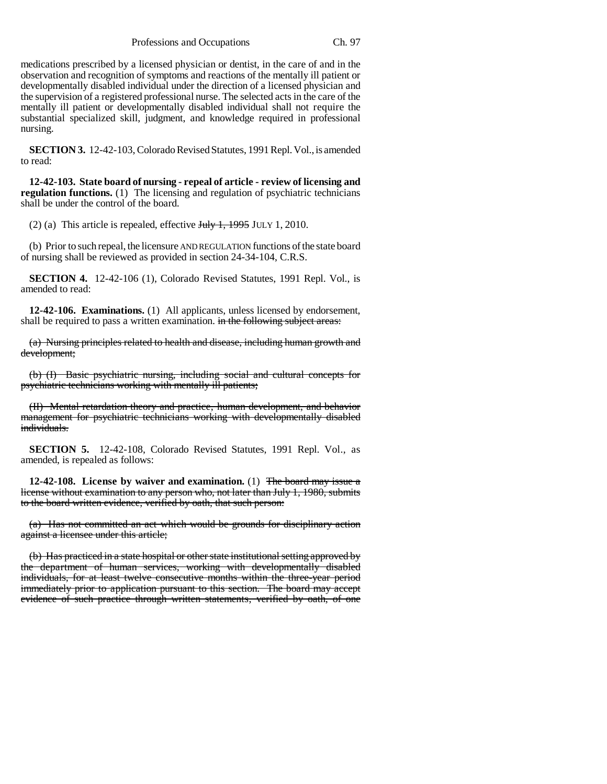medications prescribed by a licensed physician or dentist, in the care of and in the observation and recognition of symptoms and reactions of the mentally ill patient or developmentally disabled individual under the direction of a licensed physician and the supervision of a registered professional nurse. The selected acts in the care of the mentally ill patient or developmentally disabled individual shall not require the substantial specialized skill, judgment, and knowledge required in professional nursing.

**SECTION 3.** 12-42-103, Colorado Revised Statutes, 1991 Repl. Vol., is amended to read:

**12-42-103. State board of nursing - repeal of article - review of licensing and regulation functions.** (1) The licensing and regulation of psychiatric technicians shall be under the control of the board.

(2) (a) This article is repealed, effective  $J_{\text{t}}$   $J_{\text{t}}$  and  $J_{\text{t}}$  and  $J_{\text{t}}$  and  $J_{\text{t}}$  and  $J_{\text{t}}$  and  $J_{\text{t}}$  and  $J_{\text{t}}$  and  $J_{\text{t}}$  and  $J_{\text{t}}$  and  $J_{\text{t}}$  and  $J_{\text{t}}$  and  $J_{\text{t}}$  and

(b) Prior to such repeal, the licensure AND REGULATION functions of the state board of nursing shall be reviewed as provided in section 24-34-104, C.R.S.

**SECTION 4.** 12-42-106 (1), Colorado Revised Statutes, 1991 Repl. Vol., is amended to read:

**12-42-106. Examinations.** (1) All applicants, unless licensed by endorsement, shall be required to pass a written examination. in the following subject areas:

(a) Nursing principles related to health and disease, including human growth and development;

(b) (I) Basic psychiatric nursing, including social and cultural concepts for psychiatric technicians working with mentally ill patients;

(II) Mental retardation theory and practice, human development, and behavior management for psychiatric technicians working with developmentally disabled individuals.

**SECTION 5.** 12-42-108, Colorado Revised Statutes, 1991 Repl. Vol., as amended, is repealed as follows:

**12-42-108. License by waiver and examination.** (1) The board may issue a license without examination to any person who, not later than July 1, 1980, submits to the board written evidence, verified by oath, that such person:

(a) Has not committed an act which would be grounds for disciplinary action against a licensee under this article;

(b) Has practiced in a state hospital or other state institutional setting approved by the department of human services, working with developmentally disabled individuals, for at least twelve consecutive months within the three-year period immediately prior to application pursuant to this section. The board may accept evidence of such practice through written statements, verified by oath, of one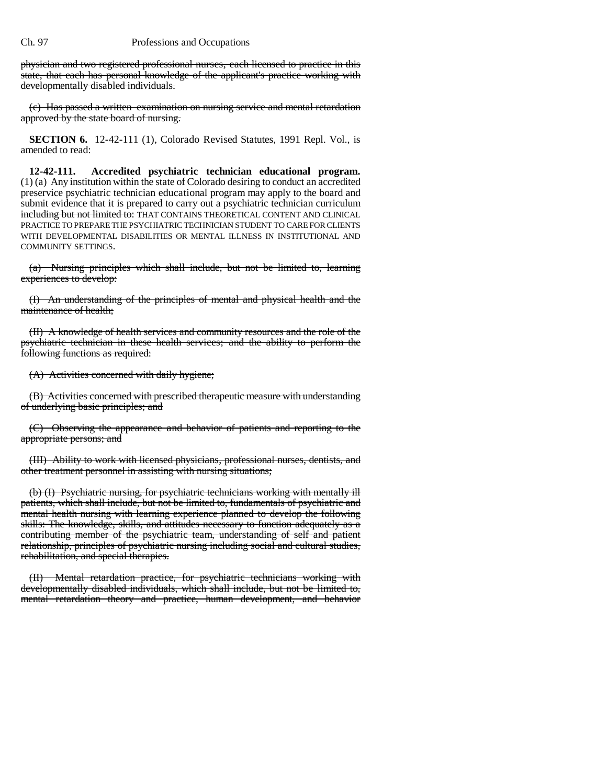## Ch. 97 Professions and Occupations

physician and two registered professional nurses, each licensed to practice in this state, that each has personal knowledge of the applicant's practice working with developmentally disabled individuals.

(c) Has passed a written examination on nursing service and mental retardation approved by the state board of nursing.

**SECTION 6.** 12-42-111 (1), Colorado Revised Statutes, 1991 Repl. Vol., is amended to read:

**12-42-111. Accredited psychiatric technician educational program.** (1) (a) Any institution within the state of Colorado desiring to conduct an accredited preservice psychiatric technician educational program may apply to the board and submit evidence that it is prepared to carry out a psychiatric technician curriculum including but not limited to: THAT CONTAINS THEORETICAL CONTENT AND CLINICAL PRACTICE TO PREPARE THE PSYCHIATRIC TECHNICIAN STUDENT TO CARE FOR CLIENTS WITH DEVELOPMENTAL DISABILITIES OR MENTAL ILLNESS IN INSTITUTIONAL AND COMMUNITY SETTINGS.

(a) Nursing principles which shall include, but not be limited to, learning experiences to develop:

(I) An understanding of the principles of mental and physical health and the maintenance of health;

(II) A knowledge of health services and community resources and the role of the psychiatric technician in these health services; and the ability to perform the following functions as required:

(A) Activities concerned with daily hygiene;

(B) Activities concerned with prescribed therapeutic measure with understanding of underlying basic principles; and

(C) Observing the appearance and behavior of patients and reporting to the appropriate persons; and

(III) Ability to work with licensed physicians, professional nurses, dentists, and other treatment personnel in assisting with nursing situations;

(b) (I) Psychiatric nursing, for psychiatric technicians working with mentally ill patients, which shall include, but not be limited to, fundamentals of psychiatric and mental health nursing with learning experience planned to develop the following skills: The knowledge, skills, and attitudes necessary to function adequately as a contributing member of the psychiatric team, understanding of self and patient relationship, principles of psychiatric nursing including social and cultural studies, rehabilitation, and special therapies.

(II) Mental retardation practice, for psychiatric technicians working with developmentally disabled individuals, which shall include, but not be limited to, mental retardation theory and practice, human development, and behavior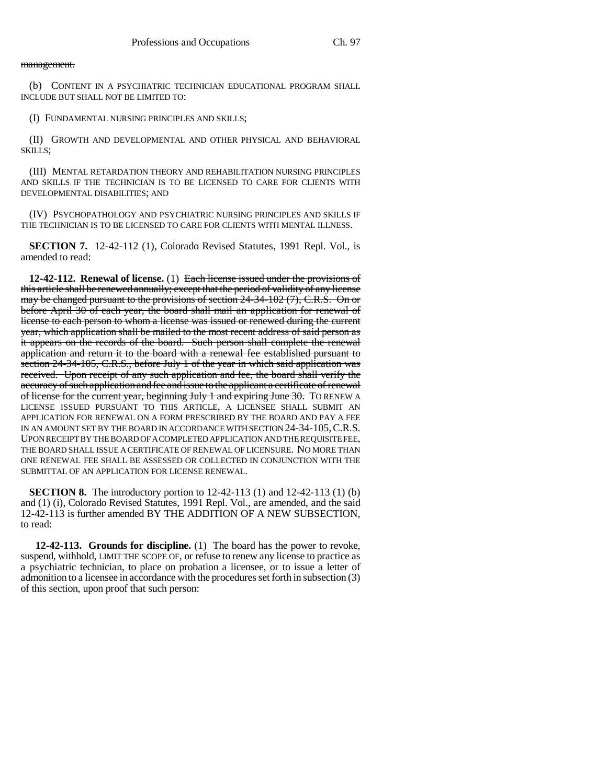## management.

(b) CONTENT IN A PSYCHIATRIC TECHNICIAN EDUCATIONAL PROGRAM SHALL INCLUDE BUT SHALL NOT BE LIMITED TO:

(I) FUNDAMENTAL NURSING PRINCIPLES AND SKILLS;

(II) GROWTH AND DEVELOPMENTAL AND OTHER PHYSICAL AND BEHAVIORAL SKILLS;

(III) MENTAL RETARDATION THEORY AND REHABILITATION NURSING PRINCIPLES AND SKILLS IF THE TECHNICIAN IS TO BE LICENSED TO CARE FOR CLIENTS WITH DEVELOPMENTAL DISABILITIES; AND

(IV) PSYCHOPATHOLOGY AND PSYCHIATRIC NURSING PRINCIPLES AND SKILLS IF THE TECHNICIAN IS TO BE LICENSED TO CARE FOR CLIENTS WITH MENTAL ILLNESS.

**SECTION 7.** 12-42-112 (1), Colorado Revised Statutes, 1991 Repl. Vol., is amended to read:

**12-42-112. Renewal of license.** (1) Each license issued under the provisions of this article shall be renewed annually; except that the period of validity of any license may be changed pursuant to the provisions of section 24-34-102 (7), C.R.S. On or before April 30 of each year, the board shall mail an application for renewal of license to each person to whom a license was issued or renewed during the current year, which application shall be mailed to the most recent address of said person as it appears on the records of the board. Such person shall complete the renewal application and return it to the board with a renewal fee established pursuant to section 24-34-105, C.R.S., before July 1 of the year in which said application was received. Upon receipt of any such application and fee, the board shall verify the accuracy of such application and fee and issue to the applicant a certificate of renewal of license for the current year, beginning July 1 and expiring June 30. TO RENEW A LICENSE ISSUED PURSUANT TO THIS ARTICLE, A LICENSEE SHALL SUBMIT AN APPLICATION FOR RENEWAL ON A FORM PRESCRIBED BY THE BOARD AND PAY A FEE IN AN AMOUNT SET BY THE BOARD IN ACCORDANCE WITH SECTION 24-34-105,C.R.S. UPON RECEIPT BY THE BOARD OF A COMPLETED APPLICATION AND THE REQUISITE FEE, THE BOARD SHALL ISSUE A CERTIFICATE OF RENEWAL OF LICENSURE. NO MORE THAN ONE RENEWAL FEE SHALL BE ASSESSED OR COLLECTED IN CONJUNCTION WITH THE SUBMITTAL OF AN APPLICATION FOR LICENSE RENEWAL.

**SECTION 8.** The introductory portion to 12-42-113 (1) and 12-42-113 (1) (b) and (1) (i), Colorado Revised Statutes, 1991 Repl. Vol., are amended, and the said 12-42-113 is further amended BY THE ADDITION OF A NEW SUBSECTION, to read:

 **12-42-113. Grounds for discipline.** (1) The board has the power to revoke, suspend, withhold, LIMIT THE SCOPE OF, or refuse to renew any license to practice as a psychiatric technician, to place on probation a licensee, or to issue a letter of admonition to a licensee in accordance with the procedures set forth in subsection (3) of this section, upon proof that such person: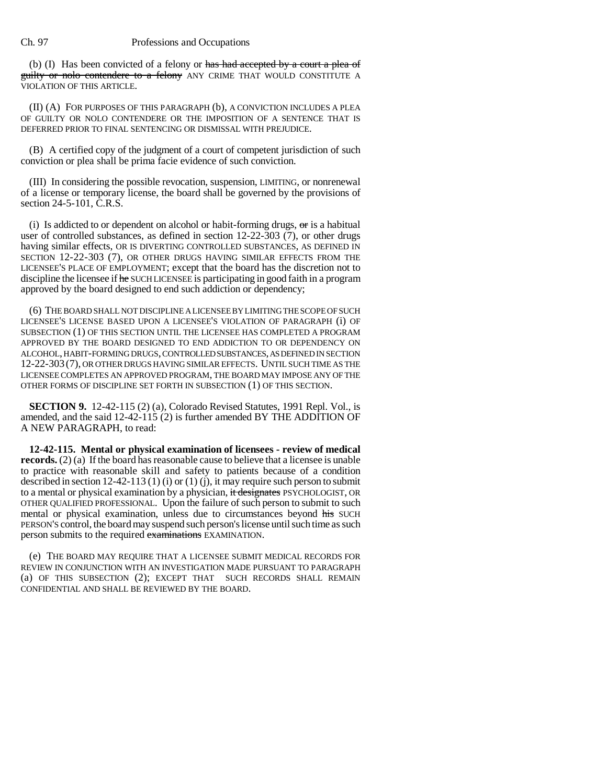## Ch. 97 Professions and Occupations

(b) (I) Has been convicted of a felony or has had accepted by a court a plea of guilty or noto contendere to a felony ANY CRIME THAT WOULD CONSTITUTE A VIOLATION OF THIS ARTICLE.

(II) (A) FOR PURPOSES OF THIS PARAGRAPH (b), A CONVICTION INCLUDES A PLEA OF GUILTY OR NOLO CONTENDERE OR THE IMPOSITION OF A SENTENCE THAT IS DEFERRED PRIOR TO FINAL SENTENCING OR DISMISSAL WITH PREJUDICE.

(B) A certified copy of the judgment of a court of competent jurisdiction of such conviction or plea shall be prima facie evidence of such conviction.

(III) In considering the possible revocation, suspension, LIMITING, or nonrenewal of a license or temporary license, the board shall be governed by the provisions of section 24-5-101, C.R.S.

(i) Is addicted to or dependent on alcohol or habit-forming drugs,  $\sigma$ r is a habitual user of controlled substances, as defined in section  $12-22-303$  (7), or other drugs having similar effects, OR IS DIVERTING CONTROLLED SUBSTANCES, AS DEFINED IN SECTION 12-22-303 (7), OR OTHER DRUGS HAVING SIMILAR EFFECTS FROM THE LICENSEE'S PLACE OF EMPLOYMENT; except that the board has the discretion not to discipline the licensee if he SUCH LICENSEE is participating in good faith in a program approved by the board designed to end such addiction or dependency;

(6) THE BOARD SHALL NOT DISCIPLINE A LICENSEE BY LIMITING THE SCOPE OF SUCH LICENSEE'S LICENSE BASED UPON A LICENSEE'S VIOLATION OF PARAGRAPH (i) OF SUBSECTION (1) OF THIS SECTION UNTIL THE LICENSEE HAS COMPLETED A PROGRAM APPROVED BY THE BOARD DESIGNED TO END ADDICTION TO OR DEPENDENCY ON ALCOHOL, HABIT-FORMING DRUGS, CONTROLLED SUBSTANCES, AS DEFINED IN SECTION 12-22-303 (7), OR OTHER DRUGS HAVING SIMILAR EFFECTS. UNTIL SUCH TIME AS THE LICENSEE COMPLETES AN APPROVED PROGRAM, THE BOARD MAY IMPOSE ANY OF THE OTHER FORMS OF DISCIPLINE SET FORTH IN SUBSECTION (1) OF THIS SECTION.

**SECTION 9.** 12-42-115 (2) (a), Colorado Revised Statutes, 1991 Repl. Vol., is amended, and the said 12-42-115 (2) is further amended BY THE ADDITION OF A NEW PARAGRAPH, to read:

**12-42-115. Mental or physical examination of licensees - review of medical records.** (2) (a) If the board has reasonable cause to believe that a licensee is unable to practice with reasonable skill and safety to patients because of a condition described in section 12-42-113 (1) (i) or (1) (j), it may require such person to submit to a mental or physical examination by a physician, it designates PSYCHOLOGIST, OR OTHER QUALIFIED PROFESSIONAL. Upon the failure of such person to submit to such mental or physical examination, unless due to circumstances beyond his SUCH PERSON'S control, the board may suspend such person's license until such time as such person submits to the required examinations EXAMINATION.

(e) THE BOARD MAY REQUIRE THAT A LICENSEE SUBMIT MEDICAL RECORDS FOR REVIEW IN CONJUNCTION WITH AN INVESTIGATION MADE PURSUANT TO PARAGRAPH (a) OF THIS SUBSECTION (2); EXCEPT THAT SUCH RECORDS SHALL REMAIN CONFIDENTIAL AND SHALL BE REVIEWED BY THE BOARD.